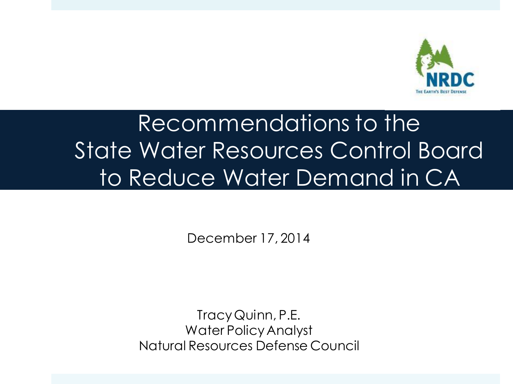

# Recommendations to the State Water Resources Control Board to Reduce Water Demand in CA

December 17, 2014

Tracy Quinn, P.E. Water Policy Analyst Natural Resources Defense Council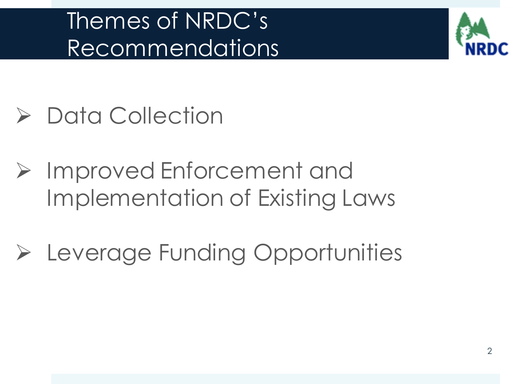# Themes of NRDC's Recommendations



- Data Collection
- **► Improved Enforcement and** Implementation of Existing Laws
- Leverage Funding Opportunities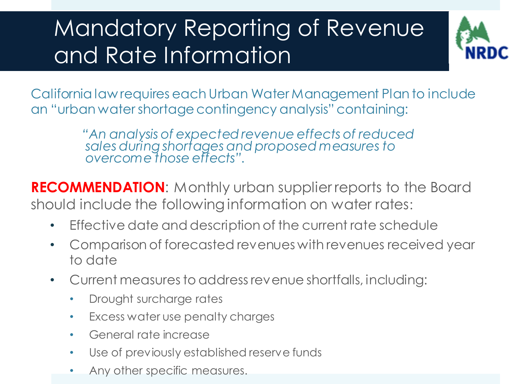# Mandatory Reporting of Revenue and Rate Information



California law requires each Urban Water Management Plan to include an "urban water shortage contingency analysis" containing:

> *"An analysis of expected revenue effects of reduced sales during shortages and proposed measures to overcome those effects".*

**RECOMMENDATION**: Monthly urban supplier reports to the Board should include the following information on water rates:

- Effective date and description of the current rate schedule
- Comparison of forecasted revenues with revenues received year to date
- Current measures to address revenue shortfalls, including:
	- Drought surcharge rates
	- Excess water use penalty charges
	- General rate increase
	- Use of previously established reserve funds
	- Any other specific measures.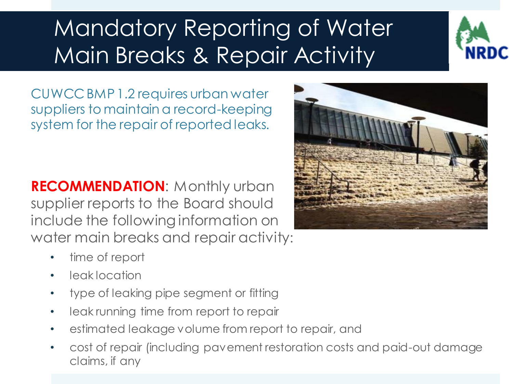# Mandatory Reporting of Water Main Breaks & Repair Activity



CUWCC BMP 1.2 requires urban water suppliers to maintain a record-keeping system for the repair of reported leaks.

**RECOMMENDATION**: Monthly urban supplier reports to the Board should include the following information on water main breaks and repair activity:

- time of report
- leak location
- type of leaking pipe segment or fitting
- leak running time from report to repair
- estimated leakage volume from report to repair, and
- cost of repair (including pavement restoration costs and paid-out damage claims, if any

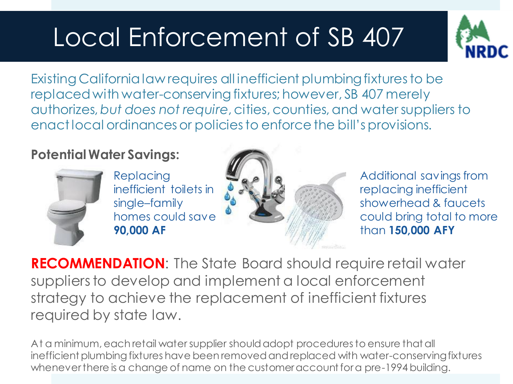# Local Enforcement of SB 407



Existing California law requires all inefficient plumbing fixtures to be replaced with water-conserving fixtures; however, SB 407 merely authorizes, *but does not require*, cities, counties, and water suppliers to enact local ordinances or policies to enforce the bill's provisions.

### **Potential Water Savings:**



Replacing inefficient toilets in single–family homes could save **90,000 AF**



Additional savings from replacing inefficient showerhead & faucets could bring total to more than **150,000 AFY**

**RECOMMENDATION**: The State Board should require retail water suppliers to develop and implement a local enforcement strategy to achieve the replacement of inefficient fixtures required by state law.

At a minimum, each retail water supplier should adopt procedures to ensure that all inefficient plumbing fixtures have been removed and replaced with water-conserving fixtures whenever there is a change of name on the customer account for a pre-1994 building.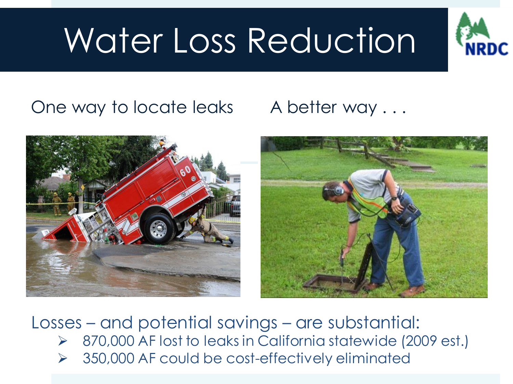# Water Loss Reduction



## One way to locate leaks A better way ...





Losses – and potential savings – are substantial:

- 870,000 AF lost to leaks in California statewide (2009 est.)
- $\triangleright$  350,000 AF could be cost-effectively eliminated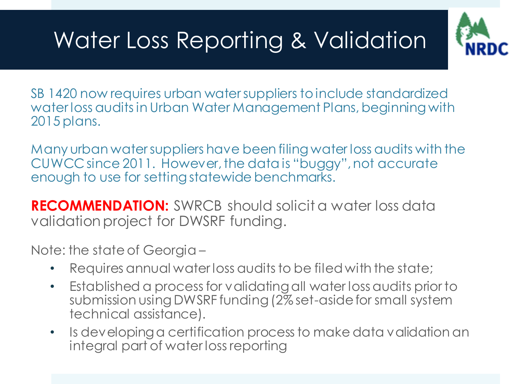# Water Loss Reporting & Validation



SB 1420 now requires urban water suppliers to include standardized water loss audits in Urban Water Management Plans, beginning with 2015 plans.

Many urban water suppliers have been filing water loss audits with the CUWCC since 2011. However, the data is "buggy", not accurate enough to use for setting statewide benchmarks.

**RECOMMENDATION:** SWRCB should solicit a water loss data validation project for DWSRF funding.

Note: the state of Georgia –

- Requires annual water loss audits to be filed with the state;
- Established a process for validating all water loss audits prior to submission using DWSRF funding (2% set-aside for small system technical assistance).
- Is developing a certification process to make data validation an integral part of water loss reporting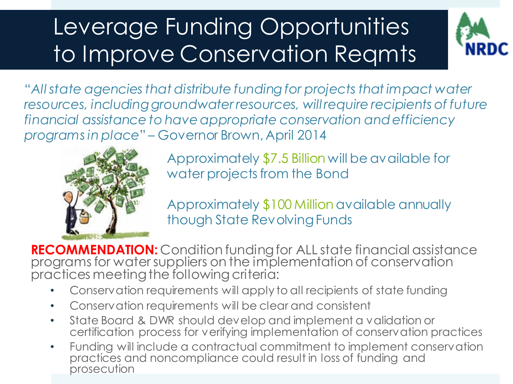# Leverage Funding Opportunities to Improve Conservation Reqmts



"*All state agencies that distribute funding for projects that impact water*  resources, including groundwater resources, will require recipients of future *financial assistance to have appropriate conservation and efficiency programs in place*" – Governor Brown, April 2014



Approximately \$7.5 Billion will be available for water projects from the Bond

Approximately \$100 Million available annually though State Revolving Funds

**RECOMMENDATION:** Condition funding for ALL state financial assistance programs for water suppliers on the implementation of conservation practices meeting the following criteria:

- Conservation requirements will apply to all recipients of state funding
- Conservation requirements will be clear and consistent
- State Board & DWR should develop and implement a validation or certification process for verifying implementation of conservation practices
- Funding will include a contractual commitment to implement conservation practices and noncompliance could result in loss of funding and prosecution